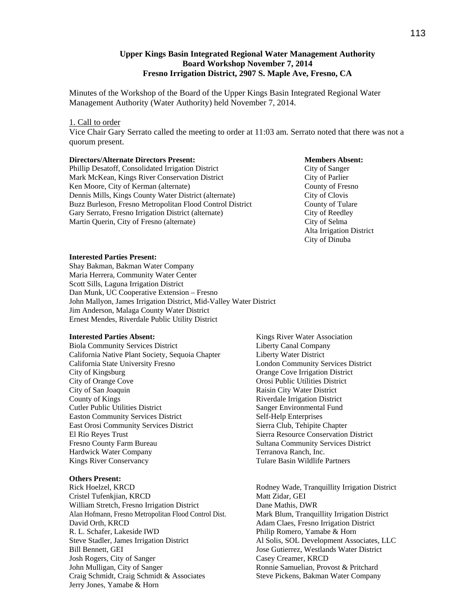# **Upper Kings Basin Integrated Regional Water Management Authority Board Workshop November 7, 2014 Fresno Irrigation District, 2907 S. Maple Ave, Fresno, CA**

Minutes of the Workshop of the Board of the Upper Kings Basin Integrated Regional Water Management Authority (Water Authority) held November 7, 2014.

#### 1. Call to order

Vice Chair Gary Serrato called the meeting to order at 11:03 am. Serrato noted that there was not a quorum present.

### **Directors/Alternate Directors Present: Members Absent:**  Phillip Desatoff, Consolidated Irrigation District City of Sanger Mark McKean, Kings River Conservation District City of Parlier Ken Moore, City of Kerman (alternate) County of Fresno Dennis Mills, Kings County Water District (alternate) City of Clovis Buzz Burleson, Fresno Metropolitan Flood Control District County of Tulare Gary Serrato, Fresno Irrigation District (alternate) City of Reedley Martin Querin, City of Fresno (alternate) City of Selma

 Alta Irrigation District City of Dinuba

#### **Interested Parties Present:**

Shay Bakman, Bakman Water Company Maria Herrera, Community Water Center Scott Sills, Laguna Irrigation District Dan Munk, UC Cooperative Extension – Fresno John Mallyon, James Irrigation District, Mid-Valley Water District Jim Anderson, Malaga County Water District Ernest Mendes, Riverdale Public Utility District

#### **Interested Parties Absent:**

Biola Community Services District California Native Plant Society, Sequoia Chapter California State University Fresno City of Kingsburg City of Orange Cove City of San Joaquin County of Kings Cutler Public Utilities District Easton Community Services District East Orosi Community Services District El Rio Reyes Trust Fresno County Farm Bureau Hardwick Water Company Kings River Conservancy

#### **Others Present:**

Rick Hoelzel, KRCD Cristel Tufenkjian, KRCD William Stretch, Fresno Irrigation District Alan Hofmann, Fresno Metropolitan Flood Control Dist. David Orth, KRCD R. L. Schafer, Lakeside IWD Steve Stadler, James Irrigation District Bill Bennett, GEI Josh Rogers, City of Sanger John Mulligan, City of Sanger Craig Schmidt, Craig Schmidt & Associates Jerry Jones, Yamabe & Horn

Kings River Water Association Liberty Canal Company Liberty Water District London Community Services District Orange Cove Irrigation District Orosi Public Utilities District Raisin City Water District Riverdale Irrigation District Sanger Environmental Fund Self-Help Enterprises Sierra Club, Tehipite Chapter Sierra Resource Conservation District Sultana Community Services District Terranova Ranch, Inc. Tulare Basin Wildlife Partners

Rodney Wade, Tranquillity Irrigation District Matt Zidar, GEI Dane Mathis, DWR Mark Blum, Tranquillity Irrigation District Adam Claes, Fresno Irrigation District Philip Romero, Yamabe & Horn Al Solis, SOL Development Associates, LLC Jose Gutierrez, Westlands Water District Casey Creamer, KRCD Ronnie Samuelian, Provost & Pritchard Steve Pickens, Bakman Water Company